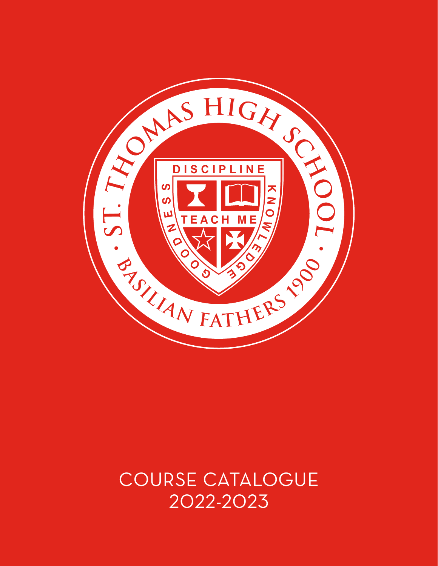

# COURSE CATALOGUE 2022-2023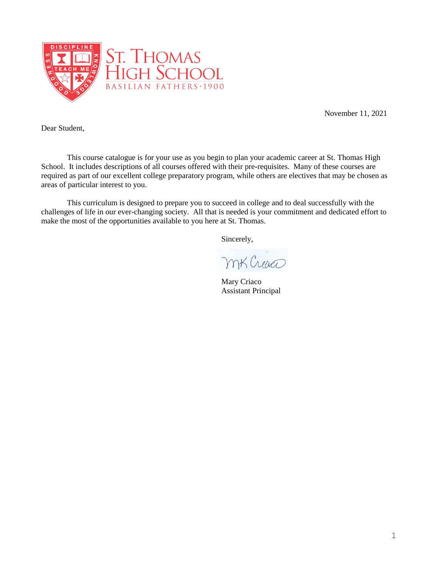

November 11, 2021

Dear Student,

This course catalogue is for your use as you begin to plan your academic career at St. Thomas High School. It includes descriptions of all courses offered with their pre**-**requisites. Many of these courses are required as part of our excellent college preparatory program, while others are electives that may be chosen as areas of particular interest to you.

This curriculum is designed to prepare you to succeed in college and to deal successfully with the challenges of life in our ever-changing society. All that is needed is your commitment and dedicated effort to make the most of the opportunities available to you here at St. Thomas.

Sincerely,

mt Creaco

Mary Criaco Assistant Principal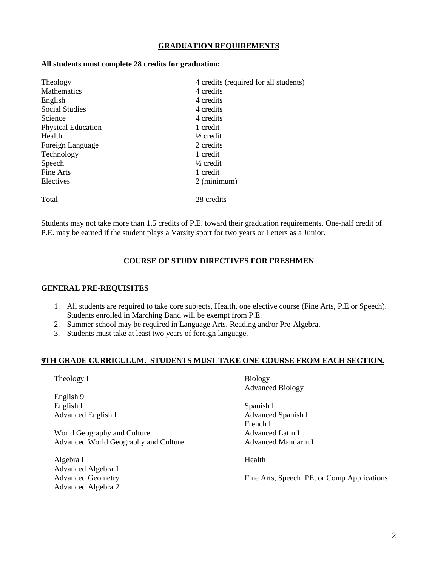### **GRADUATION REQUIREMENTS**

#### **All students must complete 28 credits for graduation:**

| Theology                        | 4 credits (required for all students) |  |
|---------------------------------|---------------------------------------|--|
| <b>Mathematics</b><br>4 credits |                                       |  |
| English                         | 4 credits                             |  |
| <b>Social Studies</b>           | 4 credits                             |  |
| Science                         | 4 credits                             |  |
| <b>Physical Education</b>       | 1 credit                              |  |
| Health                          | $\frac{1}{2}$ credit                  |  |
| Foreign Language                | 2 credits                             |  |
| Technology                      | 1 credit                              |  |
| Speech                          | $\frac{1}{2}$ credit                  |  |
| Fine Arts                       | 1 credit                              |  |
| Electives                       | $2$ (minimum)                         |  |
| Total                           | 28 credits                            |  |

Students may not take more than 1.5 credits of P.E. toward their graduation requirements. One-half credit of P.E. may be earned if the student plays a Varsity sport for two years or Letters as a Junior.

### **COURSE OF STUDY DIRECTIVES FOR FRESHMEN**

#### **GENERAL PRE-REQUISITES**

- 1. All students are required to take core subjects, Health, one elective course (Fine Arts, P.E or Speech). Students enrolled in Marching Band will be exempt from P.E.
- 2. Summer school may be required in Language Arts, Reading and/or Pre-Algebra.
- 3. Students must take at least two years of foreign language.

### **9TH GRADE CURRICULUM. STUDENTS MUST TAKE ONE COURSE FROM EACH SECTION.**

Theology I

English 9 English I Advanced English I

World Geography and Culture Advanced World Geography and Culture

Algebra I Advanced Algebra 1 Advanced Geometry Advanced Algebra 2 Biology Advanced Biology

Spanish I Advanced Spanish I French I Advanced Latin I Advanced Mandarin I

Health

Fine Arts, Speech, PE, or Comp Applications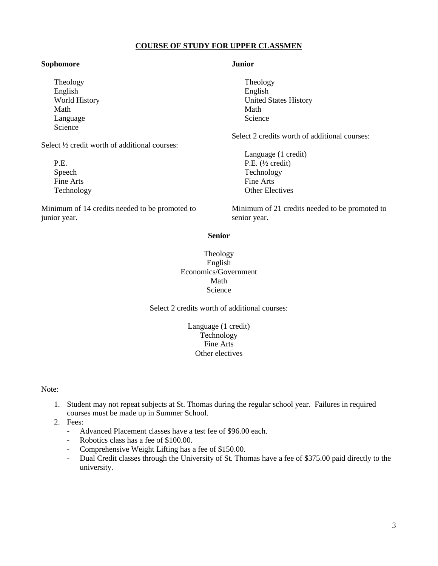### **COURSE OF STUDY FOR UPPER CLASSMEN**

#### **Sophomore**

Theology English World History Math Language Science

Select ½ credit worth of additional courses:

P.E. Speech Fine Arts Technology

Minimum of 14 credits needed to be promoted to junior year.

#### **Junior**

Theology English United States History Math Science

Select 2 credits worth of additional courses:

Language (1 credit) P.E. (½ credit) Technology Fine Arts Other Electives

Minimum of 21 credits needed to be promoted to senior year.

### **Senior**

Theology English Economics/Government Math Science

Select 2 credits worth of additional courses:

Language (1 credit) **Technology** Fine Arts Other electives

Note:

- 1. Student may not repeat subjects at St. Thomas during the regular school year. Failures in required courses must be made up in Summer School.
- 2. Fees:
	- Advanced Placement classes have a test fee of \$96.00 each.
	- Robotics class has a fee of \$100.00.
	- Comprehensive Weight Lifting has a fee of \$150.00.
	- Dual Credit classes through the University of St. Thomas have a fee of \$375.00 paid directly to the university.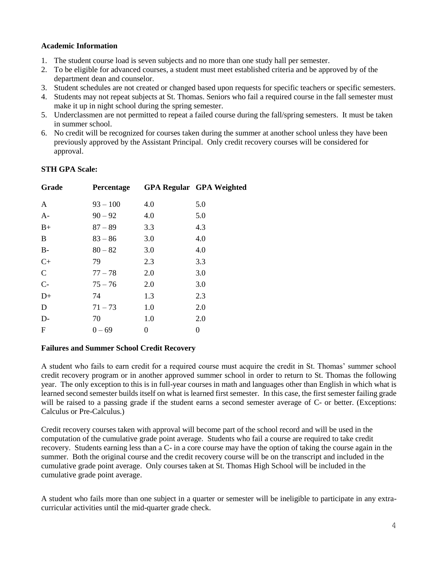### **Academic Information**

- 1. The student course load is seven subjects and no more than one study hall per semester.
- 2. To be eligible for advanced courses, a student must meet established criteria and be approved by of the department dean and counselor.
- 3. Student schedules are not created or changed based upon requests for specific teachers or specific semesters.
- 4. Students may not repeat subjects at St. Thomas. Seniors who fail a required course in the fall semester must make it up in night school during the spring semester.
- 5. Underclassmen are not permitted to repeat a failed course during the fall/spring semesters. It must be taken in summer school.
- 6. No credit will be recognized for courses taken during the summer at another school unless they have been previously approved by the Assistant Principal. Only credit recovery courses will be considered for approval.

### **STH GPA Scale:**

| Grade        | Percentage |     | <b>GPA Regular GPA Weighted</b> |
|--------------|------------|-----|---------------------------------|
| A            | $93 - 100$ | 4.0 | 5.0                             |
| $A-$         | $90 - 92$  | 4.0 | 5.0                             |
| $B+$         | $87 - 89$  | 3.3 | 4.3                             |
| B            | $83 - 86$  | 3.0 | 4.0                             |
| $B-$         | $80 - 82$  | 3.0 | 4.0                             |
| $C+$         | 79         | 2.3 | 3.3                             |
| $\mathbf C$  | $77 - 78$  | 2.0 | 3.0                             |
| $C-$         | $75 - 76$  | 2.0 | 3.0                             |
| $D+$         | 74         | 1.3 | 2.3                             |
| D            | $71 - 73$  | 1.0 | 2.0                             |
| $D-$         | 70         | 1.0 | 2.0                             |
| $\mathbf{F}$ | $0 - 69$   | 0   | 0                               |

### **Failures and Summer School Credit Recovery**

A student who fails to earn credit for a required course must acquire the credit in St. Thomas' summer school credit recovery program or in another approved summer school in order to return to St. Thomas the following year. The only exception to this is in full-year courses in math and languages other than English in which what is learned second semester builds itself on what is learned first semester. In this case, the first semester failing grade will be raised to a passing grade if the student earns a second semester average of C- or better. (Exceptions: Calculus or Pre-Calculus.)

Credit recovery courses taken with approval will become part of the school record and will be used in the computation of the cumulative grade point average. Students who fail a course are required to take credit recovery. Students earning less than a C- in a core course may have the option of taking the course again in the summer. Both the original course and the credit recovery course will be on the transcript and included in the cumulative grade point average. Only courses taken at St. Thomas High School will be included in the cumulative grade point average.

A student who fails more than one subject in a quarter or semester will be ineligible to participate in any extracurricular activities until the mid-quarter grade check.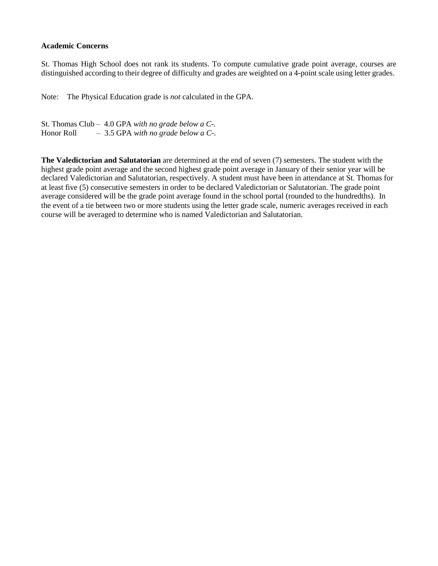#### **Academic Concerns**

St. Thomas High School does not rank its students. To compute cumulative grade point average, courses are distinguished according to their degree of difficulty and grades are weighted on a 4-point scale using letter grades.

Note: The Physical Education grade is *not* calculated in the GPA.

St. Thomas Club – 4.0 GPA *with no grade below a C-.* Honor Roll – 3.5 GPA *with no grade below a C-.*

**The Valedictorian and Salutatorian** are determined at the end of seven (7) semesters. The student with the highest grade point average and the second highest grade point average in January of their senior year will be declared Valedictorian and Salutatorian, respectively. A student must have been in attendance at St. Thomas for at least five (5) consecutive semesters in order to be declared Valedictorian or Salutatorian. The grade point average considered will be the grade point average found in the school portal (rounded to the hundredths). In the event of a tie between two or more students using the letter grade scale, numeric averages received in each course will be averaged to determine who is named Valedictorian and Salutatorian.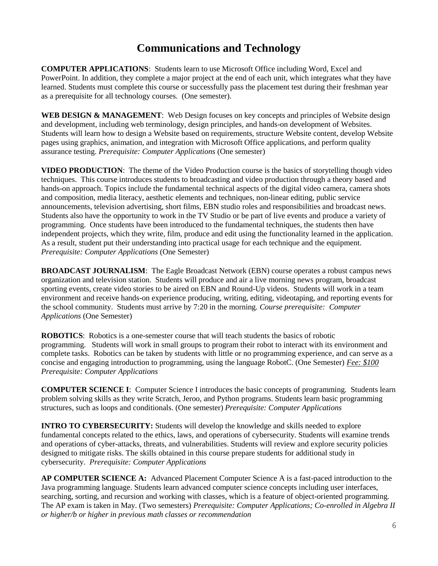# **Communications and Technology**

**COMPUTER APPLICATIONS**: Students learn to use Microsoft Office including Word, Excel and PowerPoint. In addition, they complete a major project at the end of each unit, which integrates what they have learned. Students must complete this course or successfully pass the placement test during their freshman year as a prerequisite for all technology courses. (One semester).

WEB DESIGN & MANAGEMENT: Web Design focuses on key concepts and principles of Website design and development, including web terminology, design principles, and hands-on development of Websites. Students will learn how to design a Website based on requirements, structure Website content, develop Website pages using graphics, animation, and integration with Microsoft Office applications, and perform quality assurance testing. *Prerequisite: Computer Applications* (One semester)

**VIDEO PRODUCTION**: The theme of the Video Production course is the basics of storytelling though video techniques. This course introduces students to broadcasting and video production through a theory based and hands-on approach. Topics include the fundamental technical aspects of the digital video camera, camera shots and composition, media literacy, aesthetic elements and techniques, non-linear editing, public service announcements, television advertising, short films, EBN studio roles and responsibilities and broadcast news. Students also have the opportunity to work in the TV Studio or be part of live events and produce a variety of programming. Once students have been introduced to the fundamental techniques, the students then have independent projects, which they write, film, produce and edit using the functionality learned in the application. As a result, student put their understanding into practical usage for each technique and the equipment. *Prerequisite: Computer Applications* (One Semester)

**BROADCAST JOURNALISM**:The Eagle Broadcast Network (EBN) course operates a robust campus news organization and television station. Students will produce and air a live morning news program, broadcast sporting events, create video stories to be aired on EBN and Round-Up videos. Students will work in a team environment and receive hands-on experience producing, writing, editing, videotaping, and reporting events for the school community. Students must arrive by 7:20 in the morning. *Course prerequisite: Computer Applications* (One Semester)

**ROBOTICS**: Robotics is a one-semester course that will teach students the basics of robotic programming. Students will work in small groups to program their robot to interact with its environment and complete tasks. Robotics can be taken by students with little or no programming experience, and can serve as a concise and engaging introduction to programming, using the language RobotC. (One Semester) *Fee: \$100 Prerequisite: Computer Applications*

**COMPUTER SCIENCE I**: Computer Science I introduces the basic concepts of programming. Students learn problem solving skills as they write Scratch, Jeroo, and Python programs. Students learn basic programming structures, such as loops and conditionals. (One semester) *Prerequisite: Computer Applications*

**INTRO TO CYBERSECURITY:** Students will develop the knowledge and skills needed to explore fundamental concepts related to the ethics, laws, and operations of cybersecurity. Students will examine trends and operations of cyber-attacks, threats, and vulnerabilities. Students will review and explore security policies designed to mitigate risks. The skills obtained in this course prepare students for additional study in cybersecurity. *Prerequisite: Computer Applications*

**AP COMPUTER SCIENCE A:** Advanced Placement Computer Science A is a fast-paced introduction to the Java programming language. Students learn advanced computer science concepts including user interfaces, searching, sorting, and recursion and working with classes, which is a feature of object-oriented programming. The AP exam is taken in May. (Two semesters) *Prerequisite: Computer Applications; Co-enrolled in Algebra II or higher/b or higher in previous math classes or recommendation*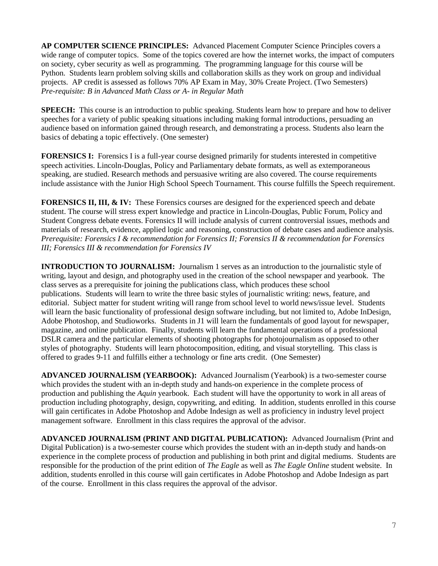**AP COMPUTER SCIENCE PRINCIPLES:** Advanced Placement Computer Science Principles covers a wide range of computer topics. Some of the topics covered are how the internet works, the impact of computers on society, cyber security as well as programming. The programming language for this course will be Python. Students learn problem solving skills and collaboration skills as they work on group and individual projects. AP credit is assessed as follows 70% AP Exam in May, 30% Create Project. (Two Semesters) *Pre-requisite: B in Advanced Math Class or A- in Regular Math*

**SPEECH:** This course is an introduction to public speaking. Students learn how to prepare and how to deliver speeches for a variety of public speaking situations including making formal introductions, persuading an audience based on information gained through research, and demonstrating a process. Students also learn the basics of debating a topic effectively. (One semester)

**FORENSICS I:** Forensics I is a full-year course designed primarily for students interested in competitive speech activities. Lincoln-Douglas, Policy and Parliamentary debate formats, as well as extemporaneous speaking, are studied. Research methods and persuasive writing are also covered. The course requirements include assistance with the Junior High School Speech Tournament. This course fulfills the Speech requirement.

**FORENSICS II, III, & IV:** These Forensics courses are designed for the experienced speech and debate student. The course will stress expert knowledge and practice in Lincoln-Douglas, Public Forum, Policy and Student Congress debate events. Forensics II will include analysis of current controversial issues, methods and materials of research, evidence, applied logic and reasoning, construction of debate cases and audience analysis. *Prerequisite: Forensics I & recommendation for Forensics II; Forensics II & recommendation for Forensics III; Forensics III & recommendation for Forensics IV*

**INTRODUCTION TO JOURNALISM:** Journalism 1 serves as an introduction to the journalistic style of writing, layout and design, and photography used in the creation of the school newspaper and yearbook. The class serves as a prerequisite for joining the publications class, which produces these school publications. Students will learn to write the three basic styles of journalistic writing: news, feature, and editorial. Subject matter for student writing will range from school level to world news/issue level. Students will learn the basic functionality of professional design software including, but not limited to, Adobe InDesign, Adobe Photoshop, and Studioworks. Students in J1 will learn the fundamentals of good layout for newspaper, magazine, and online publication. Finally, students will learn the fundamental operations of a professional DSLR camera and the particular elements of shooting photographs for photojournalism as opposed to other styles of photography. Students will learn photocomposition, editing, and visual storytelling. This class is offered to grades 9-11 and fulfills either a technology or fine arts credit. (One Semester)

**ADVANCED JOURNALISM (YEARBOOK):** Advanced Journalism (Yearbook) is a two-semester course which provides the student with an in-depth study and hands-on experience in the complete process of production and publishing the *Aquin* yearbook. Each student will have the opportunity to work in all areas of production including photography, design, copywriting, and editing. In addition, students enrolled in this course will gain certificates in Adobe Photoshop and Adobe Indesign as well as proficiency in industry level project management software. Enrollment in this class requires the approval of the advisor.

**ADVANCED JOURNALISM (PRINT AND DIGITAL PUBLICATION):** Advanced Journalism (Print and Digital Publication) is a two-semester course which provides the student with an in-depth study and hands-on experience in the complete process of production and publishing in both print and digital mediums. Students are responsible for the production of the print edition of *The Eagle* as well as *The Eagle Online* student website. In addition, students enrolled in this course will gain certificates in Adobe Photoshop and Adobe Indesign as part of the course. Enrollment in this class requires the approval of the advisor.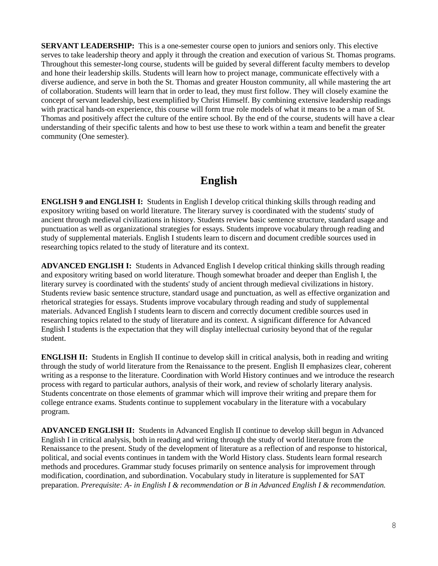**SERVANT LEADERSHIP:** This is a one-semester course open to juniors and seniors only. This elective serves to take leadership theory and apply it through the creation and execution of various St. Thomas programs. Throughout this semester-long course, students will be guided by several different faculty members to develop and hone their leadership skills. Students will learn how to project manage, communicate effectively with a diverse audience, and serve in both the St. Thomas and greater Houston community, all while mastering the art of collaboration. Students will learn that in order to lead, they must first follow. They will closely examine the concept of servant leadership, best exemplified by Christ Himself. By combining extensive leadership readings with practical hands-on experience, this course will form true role models of what it means to be a man of St. Thomas and positively affect the culture of the entire school. By the end of the course, students will have a clear understanding of their specific talents and how to best use these to work within a team and benefit the greater community (One semester).

# **English**

**ENGLISH 9 and ENGLISH I:** Students in English I develop critical thinking skills through reading and expository writing based on world literature. The literary survey is coordinated with the students' study of ancient through medieval civilizations in history. Students review basic sentence structure, standard usage and punctuation as well as organizational strategies for essays. Students improve vocabulary through reading and study of supplemental materials. English I students learn to discern and document credible sources used in researching topics related to the study of literature and its context.

**ADVANCED ENGLISH I:** Students in Advanced English I develop critical thinking skills through reading and expository writing based on world literature. Though somewhat broader and deeper than English I, the literary survey is coordinated with the students' study of ancient through medieval civilizations in history. Students review basic sentence structure, standard usage and punctuation, as well as effective organization and rhetorical strategies for essays. Students improve vocabulary through reading and study of supplemental materials. Advanced English I students learn to discern and correctly document credible sources used in researching topics related to the study of literature and its context. A significant difference for Advanced English I students is the expectation that they will display intellectual curiosity beyond that of the regular student.

**ENGLISH II:** Students in English II continue to develop skill in critical analysis, both in reading and writing through the study of world literature from the Renaissance to the present. English II emphasizes clear, coherent writing as a response to the literature. Coordination with World History continues and we introduce the research process with regard to particular authors, analysis of their work, and review of scholarly literary analysis. Students concentrate on those elements of grammar which will improve their writing and prepare them for college entrance exams. Students continue to supplement vocabulary in the literature with a vocabulary program.

**ADVANCED ENGLISH II:** Students in Advanced English II continue to develop skill begun in Advanced English I in critical analysis, both in reading and writing through the study of world literature from the Renaissance to the present. Study of the development of literature as a reflection of and response to historical, political, and social events continues in tandem with the World History class. Students learn formal research methods and procedures. Grammar study focuses primarily on sentence analysis for improvement through modification, coordination, and subordination. Vocabulary study in literature is supplemented for SAT preparation. *Prerequisite: A- in English I & recommendation or B in Advanced English I & recommendation.*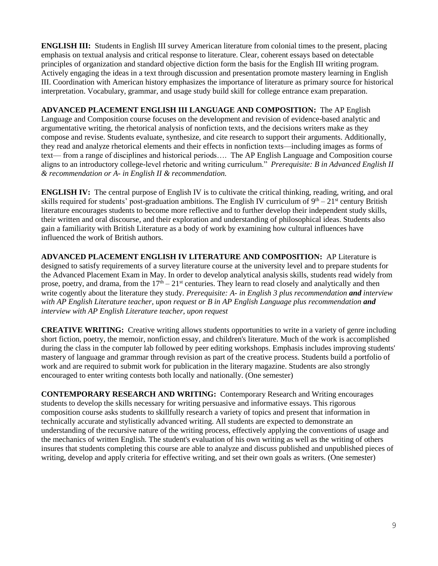**ENGLISH III:** Students in English III survey American literature from colonial times to the present, placing emphasis on textual analysis and critical response to literature. Clear, coherent essays based on detectable principles of organization and standard objective diction form the basis for the English III writing program. Actively engaging the ideas in a text through discussion and presentation promote mastery learning in English III. Coordination with American history emphasizes the importance of literature as primary source for historical interpretation. Vocabulary, grammar, and usage study build skill for college entrance exam preparation.

**ADVANCED PLACEMENT ENGLISH III LANGUAGE AND COMPOSITION:** The AP English Language and Composition course focuses on the development and revision of evidence-based analytic and argumentative writing, the rhetorical analysis of nonfiction texts, and the decisions writers make as they compose and revise. Students evaluate, synthesize, and cite research to support their arguments. Additionally, they read and analyze rhetorical elements and their effects in nonfiction texts—including images as forms of text— from a range of disciplines and historical periods…. The AP English Language and Composition course aligns to an introductory college-level rhetoric and writing curriculum." *Prerequisite: B in Advanced English II & recommendation or A- in English II & recommendation.*

**ENGLISH IV:** The central purpose of English IV is to cultivate the critical thinking, reading, writing, and oral skills required for students' post-graduation ambitions. The English IV curriculum of  $9<sup>th</sup> - 21<sup>st</sup>$  century British literature encourages students to become more reflective and to further develop their independent study skills, their written and oral discourse, and their exploration and understanding of philosophical ideas. Students also gain a familiarity with British Literature as a body of work by examining how cultural influences have influenced the work of British authors.

**ADVANCED PLACEMENT ENGLISH IV LITERATURE AND COMPOSITION:** AP Literature is designed to satisfy requirements of a survey literature course at the university level and to prepare students for the Advanced Placement Exam in May. In order to develop analytical analysis skills, students read widely from prose, poetry, and drama, from the  $17<sup>th</sup> - 21<sup>st</sup>$  centuries. They learn to read closely and analytically and then write cogently about the literature they study. *Prerequisite: A- in English 3 plus recommendation and interview with AP English Literature teacher, upon request or B in AP English Language plus recommendation and interview with AP English Literature teacher, upon request*

**CREATIVE WRITING:** Creative writing allows students opportunities to write in a variety of genre including short fiction, poetry, the memoir, nonfiction essay, and children's literature. Much of the work is accomplished during the class in the computer lab followed by peer editing workshops. Emphasis includes improving students' mastery of language and grammar through revision as part of the creative process. Students build a portfolio of work and are required to submit work for publication in the literary magazine. Students are also strongly encouraged to enter writing contests both locally and nationally. (One semester)

**CONTEMPORARY RESEARCH AND WRITING:** Contemporary Research and Writing encourages students to develop the skills necessary for writing persuasive and informative essays. This rigorous composition course asks students to skillfully research a variety of topics and present that information in technically accurate and stylistically advanced writing. All students are expected to demonstrate an understanding of the recursive nature of the writing process, effectively applying the conventions of usage and the mechanics of written English. The student's evaluation of his own writing as well as the writing of others insures that students completing this course are able to analyze and discuss published and unpublished pieces of writing, develop and apply criteria for effective writing, and set their own goals as writers. (One semester)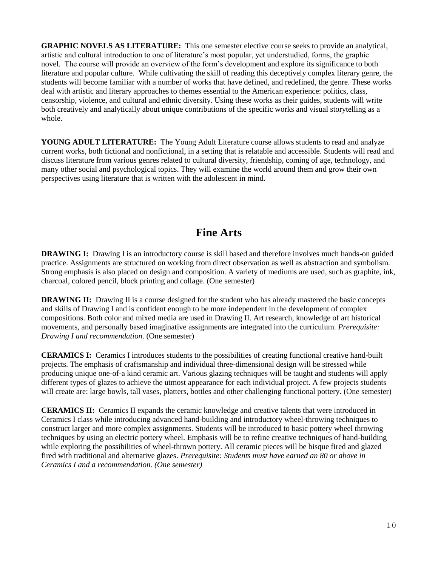**GRAPHIC NOVELS AS LITERATURE:** This one semester elective course seeks to provide an analytical, artistic and cultural introduction to one of literature's most popular, yet understudied, forms, the graphic novel. The course will provide an overview of the form's development and explore its significance to both literature and popular culture. While cultivating the skill of reading this deceptively complex literary genre, the students will become familiar with a number of works that have defined, and redefined, the genre. These works deal with artistic and literary approaches to themes essential to the American experience: politics, class, censorship, violence, and cultural and ethnic diversity. Using these works as their guides, students will write both creatively and analytically about unique contributions of the specific works and visual storytelling as a whole.

**YOUNG ADULT LITERATURE:** The Young Adult Literature course allows students to read and analyze current works, both fictional and nonfictional, in a setting that is relatable and accessible. Students will read and discuss literature from various genres related to cultural diversity, friendship, coming of age, technology, and many other social and psychological topics. They will examine the world around them and grow their own perspectives using literature that is written with the adolescent in mind.

# **Fine Arts**

**DRAWING I:** Drawing I is an introductory course is skill based and therefore involves much hands-on guided practice. Assignments are structured on working from direct observation as well as abstraction and symbolism. Strong emphasis is also placed on design and composition. A variety of mediums are used, such as graphite, ink, charcoal, colored pencil, block printing and collage. (One semester)

**DRAWING II:** Drawing II is a course designed for the student who has already mastered the basic concepts and skills of Drawing I and is confident enough to be more independent in the development of complex compositions. Both color and mixed media are used in Drawing II. Art research, knowledge of art historical movements, and personally based imaginative assignments are integrated into the curriculum. *Prerequisite: Drawing I and recommendation*. (One semester)

**CERAMICS I:** Ceramics I introduces students to the possibilities of creating functional creative hand-built projects. The emphasis of craftsmanship and individual three-dimensional design will be stressed while producing unique one-of-a kind ceramic art. Various glazing techniques will be taught and students will apply different types of glazes to achieve the utmost appearance for each individual project. A few projects students will create are: large bowls, tall vases, platters, bottles and other challenging functional pottery. (One semester)

**CERAMICS II:** Ceramics II expands the ceramic knowledge and creative talents that were introduced in Ceramics I class while introducing advanced hand-building and introductory wheel-throwing techniques to construct larger and more complex assignments. Students will be introduced to basic pottery wheel throwing techniques by using an electric pottery wheel. Emphasis will be to refine creative techniques of hand-building while exploring the possibilities of wheel-thrown pottery. All ceramic pieces will be bisque fired and glazed fired with traditional and alternative glazes. *Prerequisite: Students must have earned an 80 or above in Ceramics I and a recommendation. (One semester)*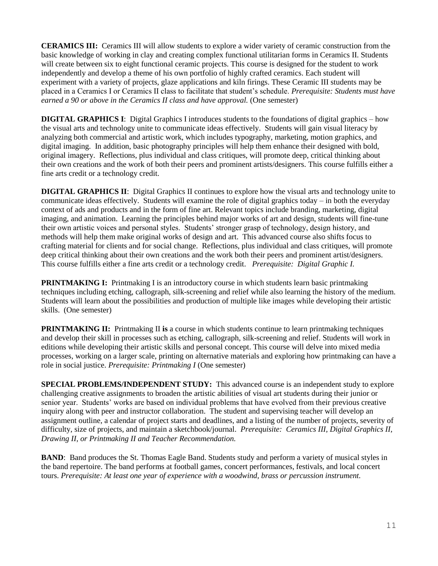**CERAMICS III:** Ceramics III will allow students to explore a wider variety of ceramic construction from the basic knowledge of working in clay and creating complex functional utilitarian forms in Ceramics II. Students will create between six to eight functional ceramic projects. This course is designed for the student to work independently and develop a theme of his own portfolio of highly crafted ceramics. Each student will experiment with a variety of projects, glaze applications and kiln firings. These Ceramic III students may be placed in a Ceramics I or Ceramics II class to facilitate that student's schedule. *Prerequisite: Students must have earned a 90 or above in the Ceramics II class and have approval.* (One semester)

**DIGITAL GRAPHICS I**: Digital Graphics I introduces students to the foundations of digital graphics – how the visual arts and technology unite to communicate ideas effectively. Students will gain visual literacy by analyzing both commercial and artistic work, which includes typography, marketing, motion graphics, and digital imaging. In addition, basic photography principles will help them enhance their designed with bold, original imagery. Reflections, plus individual and class critiques, will promote deep, critical thinking about their own creations and the work of both their peers and prominent artists/designers. This course fulfills either a fine arts credit or a technology credit.

**DIGITAL GRAPHICS II**: Digital Graphics II continues to explore how the visual arts and technology unite to communicate ideas effectively. Students will examine the role of digital graphics today – in both the everyday context of ads and products and in the form of fine art. Relevant topics include branding, marketing, digital imaging, and animation. Learning the principles behind major works of art and design, students will fine-tune their own artistic voices and personal styles. Students' stronger grasp of technology, design history, and methods will help them make original works of design and art. This advanced course also shifts focus to crafting material for clients and for social change. Reflections, plus individual and class critiques, will promote deep critical thinking about their own creations and the work both their peers and prominent artist/designers. This course fulfills either a fine arts credit or a technology credit. *Prerequisite: Digital Graphic I.* 

**PRINTMAKING I:** Printmaking I is an introductory course in which students learn basic printmaking techniques including etching, callograph, silk-screening and relief while also learning the history of the medium. Students will learn about the possibilities and production of multiple like images while developing their artistic skills. (One semester)

**PRINTMAKING II:** Printmaking II is a course in which students continue to learn printmaking techniques and develop their skill in processes such as etching, callograph, silk-screening and relief. Students will work in editions while developing their artistic skills and personal concept. This course will delve into mixed media processes, working on a larger scale, printing on alternative materials and exploring how printmaking can have a role in social justice. *Prerequisite: Printmaking I* (One semester)

**SPECIAL PROBLEMS/INDEPENDENT STUDY:** This advanced course is an independent study to explore challenging creative assignments to broaden the artistic abilities of visual art students during their junior or senior year. Students' works are based on individual problems that have evolved from their previous creative inquiry along with peer and instructor collaboration. The student and supervising teacher will develop an assignment outline, a calendar of project starts and deadlines, and a listing of the number of projects, severity of difficulty, size of projects, and maintain a sketchbook/journal. *Prerequisite: Ceramics III, Digital Graphics II, Drawing II, or Printmaking II and Teacher Recommendation.*

**BAND**: Band produces the St. Thomas Eagle Band. Students study and perform a variety of musical styles in the band repertoire. The band performs at football games, concert performances, festivals, and local concert tours. *Prerequisite: At least one year of experience with a woodwind, brass or percussion instrument.*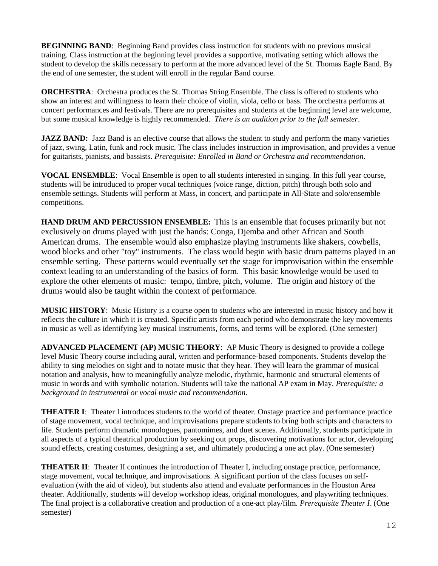**BEGINNING BAND:** Beginning Band provides class instruction for students with no previous musical training. Class instruction at the beginning level provides a supportive, motivating setting which allows the student to develop the skills necessary to perform at the more advanced level of the St. Thomas Eagle Band. By the end of one semester, the student will enroll in the regular Band course.

**ORCHESTRA:** Orchestra produces the St. Thomas String Ensemble. The class is offered to students who show an interest and willingness to learn their choice of violin, viola, cello or bass. The orchestra performs at concert performances and festivals. There are no prerequisites and students at the beginning level are welcome, but some musical knowledge is highly recommended. *There is an audition prior to the fall semester*.

**JAZZ BAND:** Jazz Band is an elective course that allows the student to study and perform the many varieties of jazz, swing, Latin, funk and rock music. The class includes instruction in improvisation, and provides a venue for guitarists, pianists, and bassists. *Prerequisite: Enrolled in Band or Orchestra and recommendation.*

**VOCAL ENSEMBLE**: Vocal Ensemble is open to all students interested in singing. In this full year course, students will be introduced to proper vocal techniques (voice range, diction, pitch) through both solo and ensemble settings. Students will perform at Mass, in concert, and participate in All-State and solo/ensemble competitions.

**HAND DRUM AND PERCUSSION ENSEMBLE:** This is an ensemble that focuses primarily but not exclusively on drums played with just the hands: Conga, Djemba and other African and South American drums. The ensemble would also emphasize playing instruments like shakers, cowbells, wood blocks and other "toy" instruments. The class would begin with basic drum patterns played in an ensemble setting. These patterns would eventually set the stage for improvisation within the ensemble context leading to an understanding of the basics of form. This basic knowledge would be used to explore the other elements of music: tempo, timbre, pitch, volume. The origin and history of the drums would also be taught within the context of performance.

**MUSIC HISTORY**: Music History is a course open to students who are interested in music history and how it reflects the culture in which it is created. Specific artists from each period who demonstrate the key movements in music as well as identifying key musical instruments, forms, and terms will be explored. (One semester)

**ADVANCED PLACEMENT (AP) MUSIC THEORY**: AP Music Theory is designed to provide a college level Music Theory course including aural, written and performance-based components. Students develop the ability to sing melodies on sight and to notate music that they hear. They will learn the grammar of musical notation and analysis, how to meaningfully analyze melodic, rhythmic, harmonic and structural elements of music in words and with symbolic notation. Students will take the national AP exam in May. *Prerequisite: a background in instrumental or vocal music and recommendation.*

**THEATER I**: Theater I introduces students to the world of theater. Onstage practice and performance practice of stage movement, vocal technique, and improvisations prepare students to bring both scripts and characters to life. Students perform dramatic monologues, pantomimes, and duet scenes. Additionally, students participate in all aspects of a typical theatrical production by seeking out props, discovering motivations for actor, developing sound effects, creating costumes, designing a set, and ultimately producing a one act play. (One semester)

**THEATER II**: Theater II continues the introduction of Theater I, including onstage practice, performance, stage movement, vocal technique, and improvisations. A significant portion of the class focuses on selfevaluation (with the aid of video), but students also attend and evaluate performances in the Houston Area theater. Additionally, students will develop workshop ideas, original monologues, and playwriting techniques. The final project is a collaborative creation and production of a one-act play/film. *Prerequisite Theater I*. (One semester)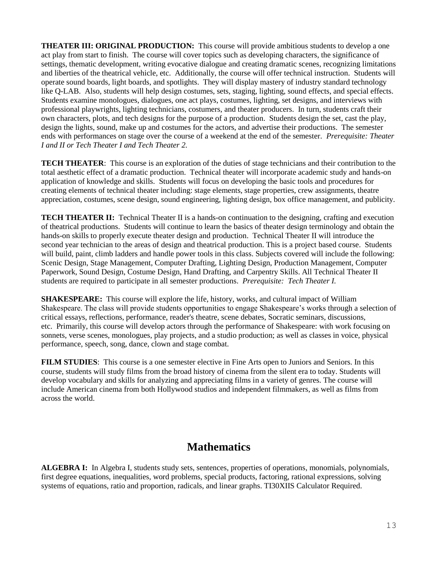**THEATER III: ORIGINAL PRODUCTION:** This course will provide ambitious students to develop a one act play from start to finish. The course will cover topics such as developing characters, the significance of settings, thematic development, writing evocative dialogue and creating dramatic scenes, recognizing limitations and liberties of the theatrical vehicle, etc. Additionally, the course will offer technical instruction. Students will operate sound boards, light boards, and spotlights. They will display mastery of industry standard technology like Q-LAB. Also, students will help design costumes, sets, staging, lighting, sound effects, and special effects. Students examine monologues, dialogues, one act plays, costumes, lighting, set designs, and interviews with professional playwrights, lighting technicians, costumers, and theater producers. In turn, students craft their own characters, plots, and tech designs for the purpose of a production. Students design the set, cast the play, design the lights, sound, make up and costumes for the actors, and advertise their productions. The semester ends with performances on stage over the course of a weekend at the end of the semester. *Prerequisite: Theater I and II or Tech Theater I and Tech Theater 2.*

**TECH THEATER**: This course is an exploration of the duties of stage technicians and their contribution to the total aesthetic effect of a dramatic production. Technical theater will incorporate academic study and hands-on application of knowledge and skills. Students will focus on developing the basic tools and procedures for creating elements of technical theater including: stage elements, stage properties, crew assignments, theatre appreciation, costumes, scene design, sound engineering, lighting design, box office management, and publicity.

**TECH THEATER II:** Technical Theater II is a hands-on continuation to the designing, crafting and execution of theatrical productions. Students will continue to learn the basics of theater design terminology and obtain the hands-on skills to properly execute theater design and production. Technical Theater II will introduce the second year technician to the areas of design and theatrical production. This is a project based course. Students will build, paint, climb ladders and handle power tools in this class. Subjects covered will include the following: Scenic Design, Stage Management, Computer Drafting, Lighting Design, Production Management, Computer Paperwork, Sound Design, Costume Design, Hand Drafting, and Carpentry Skills. All Technical Theater II students are required to participate in all semester productions. *Prerequisite: Tech Theater I.*

**SHAKESPEARE:** This course will explore the life, history, works, and cultural impact of William Shakespeare. The class will provide students opportunities to engage Shakespeare's works through a selection of critical essays, reflections, performance, reader's theatre, scene debates, Socratic seminars, discussions, etc. Primarily, this course will develop actors through the performance of Shakespeare: with work focusing on sonnets, verse scenes, monologues, play projects, and a studio production; as well as classes in voice, physical performance, speech, song, dance, clown and stage combat.

**FILM STUDIES**: This course is a one semester elective in Fine Arts open to Juniors and Seniors. In this course, students will study films from the broad history of cinema from the silent era to today. Students will develop vocabulary and skills for analyzing and appreciating films in a variety of genres. The course will include American cinema from both Hollywood studios and independent filmmakers, as well as films from across the world.

# **Mathematics**

**ALGEBRA I:** In Algebra I, students study sets, sentences, properties of operations, monomials, polynomials, first degree equations, inequalities, word problems, special products, factoring, rational expressions, solving systems of equations, ratio and proportion, radicals, and linear graphs. TI30XIIS Calculator Required.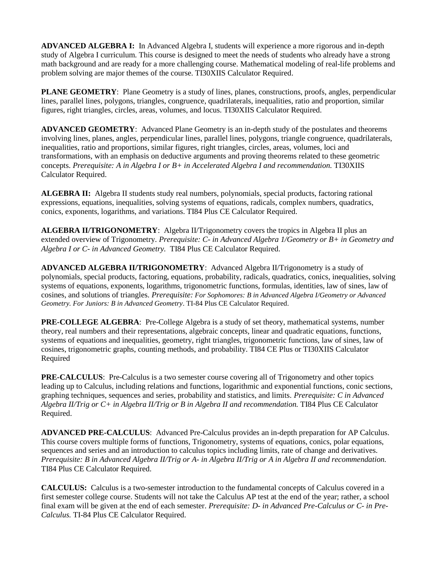**ADVANCED ALGEBRA I:** In Advanced Algebra I, students will experience a more rigorous and in-depth study of Algebra I curriculum. This course is designed to meet the needs of students who already have a strong math background and are ready for a more challenging course. Mathematical modeling of real-life problems and problem solving are major themes of the course. TI30XIIS Calculator Required.

**PLANE GEOMETRY:** Plane Geometry is a study of lines, planes, constructions, proofs, angles, perpendicular lines, parallel lines, polygons, triangles, congruence, quadrilaterals, inequalities, ratio and proportion, similar figures, right triangles, circles, areas, volumes, and locus. TI30XIIS Calculator Required.

**ADVANCED GEOMETRY**: Advanced Plane Geometry is an in-depth study of the postulates and theorems involving lines, planes, angles, perpendicular lines, parallel lines, polygons, triangle congruence, quadrilaterals, inequalities, ratio and proportions, similar figures, right triangles, circles, areas, volumes, loci and transformations, with an emphasis on deductive arguments and proving theorems related to these geometric concepts. *Prerequisite: A in Algebra I or B+ in Accelerated Algebra I and recommendation.* TI30XIIS Calculator Required.

**ALGEBRA II:** Algebra II students study real numbers, polynomials, special products, factoring rational expressions, equations, inequalities, solving systems of equations, radicals, complex numbers, quadratics, conics, exponents, logarithms, and variations. TI84 Plus CE Calculator Required.

**ALGEBRA II/TRIGONOMETRY**: Algebra II/Trigonometry covers the tropics in Algebra II plus an extended overview of Trigonometry. *Prerequisite: C- in Advanced Algebra 1/Geometry or B+ in Geometry and Algebra I or C- in Advanced Geometry.* TI84 Plus CE Calculator Required.

**ADVANCED ALGEBRA II/TRIGONOMETRY**: Advanced Algebra II/Trigonometry is a study of polynomials, special products, factoring, equations, probability, radicals, quadratics, conics, inequalities, solving systems of equations, exponents, logarithms, trigonometric functions, formulas, identities, law of sines, law of cosines, and solutions of triangles. *Prerequisite: For Sophomores: B in Advanced Algebra I/Geometry or Advanced Geometry. For Juniors: B in Advanced Geometry*. TI-84 Plus CE Calculator Required.

**PRE-COLLEGE ALGEBRA**: Pre-College Algebra is a study of set theory, mathematical systems, number theory, real numbers and their representations, algebraic concepts, linear and quadratic equations, functions, systems of equations and inequalities, geometry, right triangles, trigonometric functions, law of sines, law of cosines, trigonometric graphs, counting methods, and probability. TI84 CE Plus or TI30XIIS Calculator Required

**PRE-CALCULUS:** Pre-Calculus is a two semester course covering all of Trigonometry and other topics leading up to Calculus, including relations and functions, logarithmic and exponential functions, conic sections, graphing techniques, sequences and series, probability and statistics, and limits. *Prerequisite: C in Advanced Algebra II/Trig or C+ in Algebra II/Trig or B in Algebra II and recommendation.* TI84 Plus CE Calculator Required.

**ADVANCED PRE-CALCULUS**: Advanced Pre-Calculus provides an in-depth preparation for AP Calculus. This course covers multiple forms of functions, Trigonometry, systems of equations, conics, polar equations, sequences and series and an introduction to calculus topics including limits, rate of change and derivatives. *Prerequisite: B in Advanced Algebra II/Trig or A- in Algebra II/Trig or A in Algebra II and recommendation.* TI84 Plus CE Calculator Required.

**CALCULUS:** Calculus is a two-semester introduction to the fundamental concepts of Calculus covered in a first semester college course. Students will not take the Calculus AP test at the end of the year; rather, a school final exam will be given at the end of each semester. *Prerequisite: D- in Advanced Pre-Calculus or C- in Pre-Calculus.* TI-84 Plus CE Calculator Required.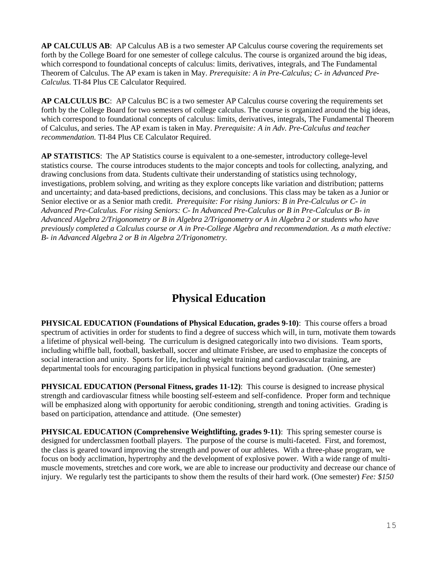**AP CALCULUS AB**: AP Calculus AB is a two semester AP Calculus course covering the requirements set forth by the College Board for one semester of college calculus. The course is organized around the big ideas, which correspond to foundational concepts of calculus: limits, derivatives, integrals, and The Fundamental Theorem of Calculus. The AP exam is taken in May. *Prerequisite: A in Pre-Calculus; C- in Advanced Pre-Calculus.* TI-84 Plus CE Calculator Required.

**AP CALCULUS BC**: AP Calculus BC is a two semester AP Calculus course covering the requirements set forth by the College Board for two semesters of college calculus. The course is organized around the big ideas, which correspond to foundational concepts of calculus: limits, derivatives, integrals, The Fundamental Theorem of Calculus, and series. The AP exam is taken in May. *Prerequisite: A in Adv. Pre-Calculus and teacher recommendation.* TI-84 Plus CE Calculator Required.

**AP STATISTICS**: The AP Statistics course is equivalent to a one-semester, introductory college-level statistics course. The course introduces students to the major concepts and tools for collecting, analyzing, and drawing conclusions from data. Students cultivate their understanding of statistics using technology, investigations, problem solving, and writing as they explore concepts like variation and distribution; patterns and uncertainty; and data-based predictions, decisions, and conclusions. This class may be taken as a Junior or Senior elective or as a Senior math credit. *Prerequisite: For rising Juniors: B in Pre-Calculus or C- in Advanced Pre-Calculus. For rising Seniors: C- In Advanced Pre-Calculus or B in Pre-Calculus or B- in Advanced Algebra 2/Trigonometry or B in Algebra 2/Trigonometry or A in Algebra 2 or students who have previously completed a Calculus course or A in Pre-College Algebra and recommendation. As a math elective: B- in Advanced Algebra 2 or B in Algebra 2/Trigonometry.*

# **Physical Education**

**PHYSICAL EDUCATION (Foundations of Physical Education, grades 9-10)**:This course offers a broad spectrum of activities in order for students to find a degree of success which will, in turn, motivate them towards a lifetime of physical well-being. The curriculum is designed categorically into two divisions. Team sports, including whiffle ball, football, basketball, soccer and ultimate Frisbee, are used to emphasize the concepts of social interaction and unity. Sports for life, including weight training and cardiovascular training, are departmental tools for encouraging participation in physical functions beyond graduation. (One semester)

**PHYSICAL EDUCATION (Personal Fitness, grades 11-12)**: This course is designed to increase physical strength and cardiovascular fitness while boosting self-esteem and self-confidence. Proper form and technique will be emphasized along with opportunity for aerobic conditioning, strength and toning activities. Grading is based on participation, attendance and attitude. (One semester)

**PHYSICAL EDUCATION (Comprehensive Weightlifting, grades 9-11)**: This spring semester course is designed for underclassmen football players. The purpose of the course is multi-faceted. First, and foremost, the class is geared toward improving the strength and power of our athletes. With a three-phase program, we focus on body acclimation, hypertrophy and the development of explosive power. With a wide range of multimuscle movements, stretches and core work, we are able to increase our productivity and decrease our chance of injury. We regularly test the participants to show them the results of their hard work. (One semester) *Fee: \$150*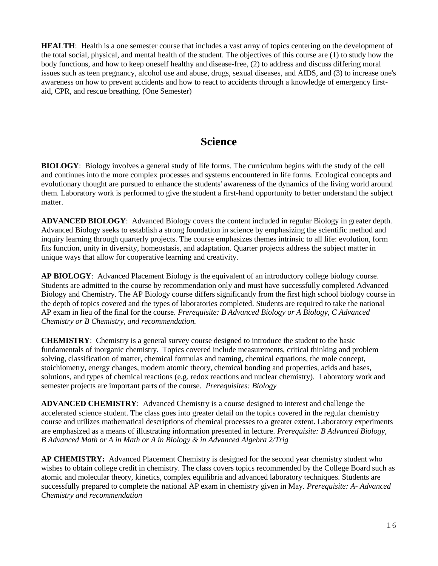**HEALTH**: Health is a one semester course that includes a vast array of topics centering on the development of the total social, physical, and mental health of the student. The objectives of this course are (1) to study how the body functions, and how to keep oneself healthy and disease-free, (2) to address and discuss differing moral issues such as teen pregnancy, alcohol use and abuse, drugs, sexual diseases, and AIDS, and (3) to increase one's awareness on how to prevent accidents and how to react to accidents through a knowledge of emergency firstaid, CPR, and rescue breathing. (One Semester)

# **Science**

**BIOLOGY**: Biology involves a general study of life forms. The curriculum begins with the study of the cell and continues into the more complex processes and systems encountered in life forms. Ecological concepts and evolutionary thought are pursued to enhance the students' awareness of the dynamics of the living world around them. Laboratory work is performed to give the student a first-hand opportunity to better understand the subject matter.

**ADVANCED BIOLOGY**: Advanced Biology covers the content included in regular Biology in greater depth. Advanced Biology seeks to establish a strong foundation in science by emphasizing the scientific method and inquiry learning through quarterly projects. The course emphasizes themes intrinsic to all life: evolution, form fits function, unity in diversity, homeostasis, and adaptation. Quarter projects address the subject matter in unique ways that allow for cooperative learning and creativity.

**AP BIOLOGY**: Advanced Placement Biology is the equivalent of an introductory college biology course. Students are admitted to the course by recommendation only and must have successfully completed Advanced Biology and Chemistry. The AP Biology course differs significantly from the first high school biology course in the depth of topics covered and the types of laboratories completed. Students are required to take the national AP exam in lieu of the final for the course. *Prerequisite: B Advanced Biology or A Biology, C Advanced Chemistry or B Chemistry, and recommendation.*

**CHEMISTRY**: Chemistry is a general survey course designed to introduce the student to the basic fundamentals of inorganic chemistry. Topics covered include measurements, critical thinking and problem solving, classification of matter, chemical formulas and naming, chemical equations, the mole concept, stoichiometry, energy changes, modern atomic theory, chemical bonding and properties, acids and bases, solutions, and types of chemical reactions (e.g. redox reactions and nuclear chemistry). Laboratory work and semester projects are important parts of the course. *Prerequisites: Biology*

**ADVANCED CHEMISTRY**: Advanced Chemistry is a course designed to interest and challenge the accelerated science student. The class goes into greater detail on the topics covered in the regular chemistry course and utilizes mathematical descriptions of chemical processes to a greater extent. Laboratory experiments are emphasized as a means of illustrating information presented in lecture. *Prerequisite: B Advanced Biology, B Advanced Math or A in Math or A in Biology & in Advanced Algebra 2/Trig*

**AP CHEMISTRY:** Advanced Placement Chemistry is designed for the second year chemistry student who wishes to obtain college credit in chemistry. The class covers topics recommended by the College Board such as atomic and molecular theory, kinetics, complex equilibria and advanced laboratory techniques. Students are successfully prepared to complete the national AP exam in chemistry given in May. *Prerequisite: A- Advanced Chemistry and recommendation*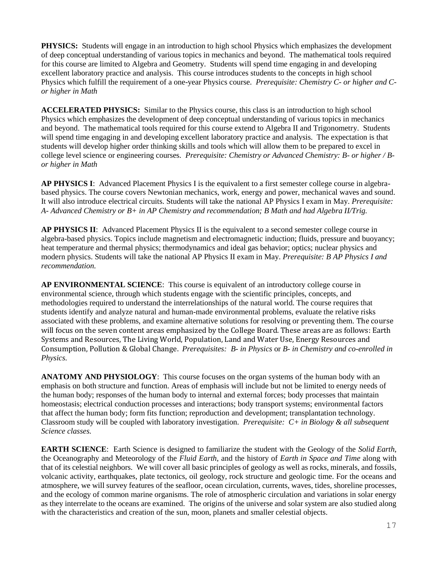**PHYSICS:** Students will engage in an introduction to high school Physics which emphasizes the development of deep conceptual understanding of various topics in mechanics and beyond. The mathematical tools required for this course are limited to Algebra and Geometry. Students will spend time engaging in and developing excellent laboratory practice and analysis. This course introduces students to the concepts in high school Physics which fulfill the requirement of a one-year Physics course. *Prerequisite: Chemistry C- or higher and Cor higher in Math* 

**ACCELERATED PHYSICS:** Similar to the Physics course, this class is an introduction to high school Physics which emphasizes the development of deep conceptual understanding of various topics in mechanics and beyond. The mathematical tools required for this course extend to Algebra II and Trigonometry. Students will spend time engaging in and developing excellent laboratory practice and analysis. The expectation is that students will develop higher order thinking skills and tools which will allow them to be prepared to excel in college level science or engineering courses*. Prerequisite: Chemistry or Advanced Chemistry: B- or higher / Bor higher in Math*

**AP PHYSICS I**: Advanced Placement Physics I is the equivalent to a first semester college course in algebrabased physics. The course covers Newtonian mechanics, work, energy and power, mechanical waves and sound. It will also introduce electrical circuits. Students will take the national AP Physics I exam in May. *Prerequisite: A- Advanced Chemistry or B+ in AP Chemistry and recommendation; B Math and had Algebra II/Trig.*

**AP PHYSICS II**: Advanced Placement Physics II is the equivalent to a second semester college course in algebra-based physics. Topics include magnetism and electromagnetic induction; fluids, pressure and buoyancy; heat temperature and thermal physics; thermodynamics and ideal gas behavior; optics; nuclear physics and modern physics. Students will take the national AP Physics II exam in May. *Prerequisite: B AP Physics I and recommendation.*

**AP ENVIRONMENTAL SCIENCE**:This course is equivalent of an introductory college course in environmental science, through which students engage with the scientific principles, concepts, and methodologies required to understand the interrelationships of the natural world. The course requires that students identify and analyze natural and human-made environmental problems, evaluate the relative risks associated with these problems, and examine alternative solutions for resolving or preventing them. The course will focus on the seven content areas emphasized by the College Board. These areas are as follows: Earth Systems and Resources, The Living World, Population, Land and Water Use, Energy Resources and Consumption, Pollution & Global Change. *Prerequisites: B- in Physics* or *B- in Chemistry and co-enrolled in Physics.*

**ANATOMY AND PHYSIOLOGY**: This course focuses on the organ systems of the human body with an emphasis on both structure and function. Areas of emphasis will include but not be limited to energy needs of the human body; responses of the human body to internal and external forces; body processes that maintain homeostasis; electrical conduction processes and interactions; body transport systems; environmental factors that affect the human body; form fits function; reproduction and development; transplantation technology. Classroom study will be coupled with laboratory investigation. *Prerequisite: C+ in Biology & all subsequent Science classes.*

**EARTH SCIENCE**: Earth Science is designed to familiarize the student with the Geology of the *Solid Earth*, the Oceanography and Meteorology of the *Fluid Earth*, and the history of *Earth in Space and Time* along with that of its celestial neighbors. We will cover all basic principles of geology as well as rocks, minerals, and fossils, volcanic activity, earthquakes, plate tectonics, oil geology, rock structure and geologic time. For the oceans and atmosphere, we will survey features of the seafloor, ocean circulation, currents, waves, tides, shoreline processes, and the ecology of common marine organisms. The role of atmospheric circulation and variations in solar energy as they interrelate to the oceans are examined. The origins of the universe and solar system are also studied along with the characteristics and creation of the sun, moon, planets and smaller celestial objects.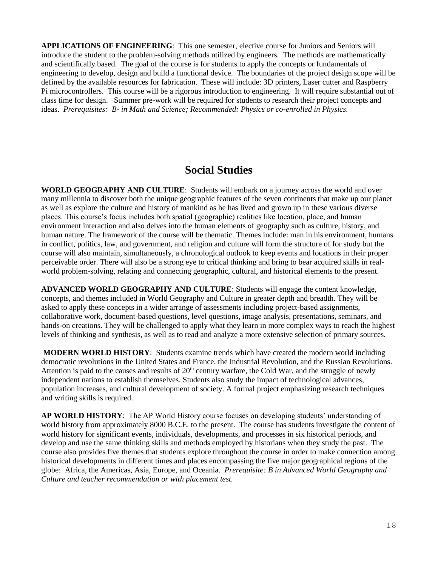**APPLICATIONS OF ENGINEERING**: This one semester, elective course for Juniors and Seniors will introduce the student to the problem-solving methods utilized by engineers. The methods are mathematically and scientifically based. The goal of the course is for students to apply the concepts or fundamentals of engineering to develop, design and build a functional device. The boundaries of the project design scope will be defined by the available resources for fabrication. These will include: 3D printers, Laser cutter and Raspberry Pi microcontrollers. This course will be a rigorous introduction to engineering. It will require substantial out of class time for design. Summer pre-work will be required for students to research their project concepts and ideas. *Prerequisites: B- in Math and Science; Recommended: Physics or co-enrolled in Physics.*

## **Social Studies**

**WORLD GEOGRAPHY AND CULTURE**: Students will embark on a journey across the world and over many millennia to discover both the unique geographic features of the seven continents that make up our planet as well as explore the culture and history of mankind as he has lived and grown up in these various diverse places. This course's focus includes both spatial (geographic) realities like location, place, and human environment interaction and also delves into the human elements of geography such as culture, history, and human nature. The framework of the course will be thematic. Themes include: man in his environment, humans in conflict, politics, law, and government, and religion and culture will form the structure of for study but the course will also maintain, simultaneously, a chronological outlook to keep events and locations in their proper perceivable order. There will also be a strong eye to critical thinking and bring to bear acquired skills in realworld problem-solving, relating and connecting geographic, cultural, and historical elements to the present.

**ADVANCED WORLD GEOGRAPHY AND CULTURE**: Students will engage the content knowledge, concepts, and themes included in World Geography and Culture in greater depth and breadth. They will be asked to apply these concepts in a wider arrange of assessments including project-based assignments, collaborative work, document-based questions, level questions, image analysis, presentations, seminars, and hands-on creations. They will be challenged to apply what they learn in more complex ways to reach the highest levels of thinking and synthesis, as well as to read and analyze a more extensive selection of primary sources.

**MODERN WORLD HISTORY**: Students examine trends which have created the modern world including democratic revolutions in the United States and France, the Industrial Revolution, and the Russian Revolutions. Attention is paid to the causes and results of  $20<sup>th</sup>$  century warfare, the Cold War, and the struggle of newly independent nations to establish themselves. Students also study the impact of technological advances, population increases, and cultural development of society. A formal project emphasizing research techniques and writing skills is required.

**AP WORLD HISTORY**: The AP World History course focuses on developing students' understanding of world history from approximately 8000 B.C.E. to the present. The course has students investigate the content of world history for significant events, individuals, developments, and processes in six historical periods, and develop and use the same thinking skills and methods employed by historians when they study the past. The course also provides five themes that students explore throughout the course in order to make connection among historical developments in different times and places encompassing the five major geographical regions of the globe: Africa, the Americas, Asia, Europe, and Oceania. *Prerequisite: B in Advanced World Geography and Culture and teacher recommendation or with placement test.*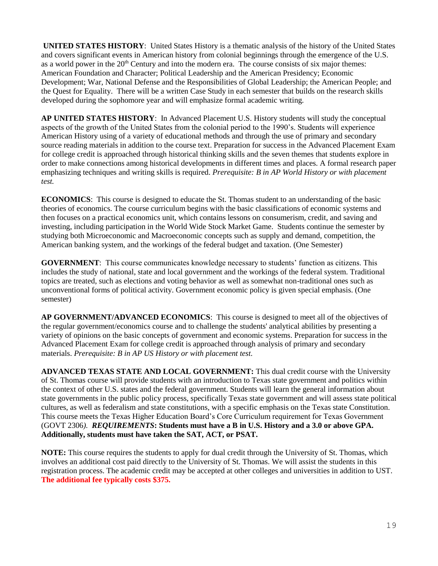**UNITED STATES HISTORY**: United States History is a thematic analysis of the history of the United States and covers significant events in American history from colonial beginnings through the emergence of the U.S. as a world power in the 20<sup>th</sup> Century and into the modern era. The course consists of six major themes: American Foundation and Character; Political Leadership and the American Presidency; Economic Development; War, National Defense and the Responsibilities of Global Leadership; the American People; and the Quest for Equality. There will be a written Case Study in each semester that builds on the research skills developed during the sophomore year and will emphasize formal academic writing.

**AP UNITED STATES HISTORY**: In Advanced Placement U.S. History students will study the conceptual aspects of the growth of the United States from the colonial period to the 1990's. Students will experience American History using of a variety of educational methods and through the use of primary and secondary source reading materials in addition to the course text. Preparation for success in the Advanced Placement Exam for college credit is approached through historical thinking skills and the seven themes that students explore in order to make connections among historical developments in different times and places. A formal research paper emphasizing techniques and writing skills is required. *Prerequisite: B in AP World History or with placement test.*

**ECONOMICS**: This course is designed to educate the St. Thomas student to an understanding of the basic theories of economics. The course curriculum begins with the basic classifications of economic systems and then focuses on a practical economics unit, which contains lessons on consumerism, credit, and saving and investing, including participation in the World Wide Stock Market Game. Students continue the semester by studying both Microeconomic and Macroeconomic concepts such as supply and demand, competition, the American banking system, and the workings of the federal budget and taxation. (One Semester)

**GOVERNMENT**: This course communicates knowledge necessary to students' function as citizens. This includes the study of national, state and local government and the workings of the federal system. Traditional topics are treated, such as elections and voting behavior as well as somewhat non-traditional ones such as unconventional forms of political activity. Government economic policy is given special emphasis. (One semester)

**AP GOVERNMENT/ADVANCED ECONOMICS**: This course is designed to meet all of the objectives of the regular government/economics course and to challenge the students' analytical abilities by presenting a variety of opinions on the basic concepts of government and economic systems. Preparation for success in the Advanced Placement Exam for college credit is approached through analysis of primary and secondary materials. *Prerequisite: B in AP US History or with placement test.*

**ADVANCED TEXAS STATE AND LOCAL GOVERNMENT:** This dual credit course with the University of St. Thomas course will provide students with an introduction to Texas state government and politics within the context of other U.S. states and the federal government. Students will learn the general information about state governments in the public policy process, specifically Texas state government and will assess state political cultures, as well as federalism and state constitutions, with a specific emphasis on the Texas state Constitution. This course meets the Texas Higher Education Board's Core Curriculum requirement for Texas Government (GOVT 2306*). REQUIREMENTS***: Students must have a B in U.S. History and a 3.0 or above GPA. Additionally, students must have taken the SAT, ACT, or PSAT.**

**NOTE:** This course requires the students to apply for dual credit through the University of St. Thomas, which involves an additional cost paid directly to the University of St. Thomas. We will assist the students in this registration process. The academic credit may be accepted at other colleges and universities in addition to UST. **The additional fee typically costs \$375.**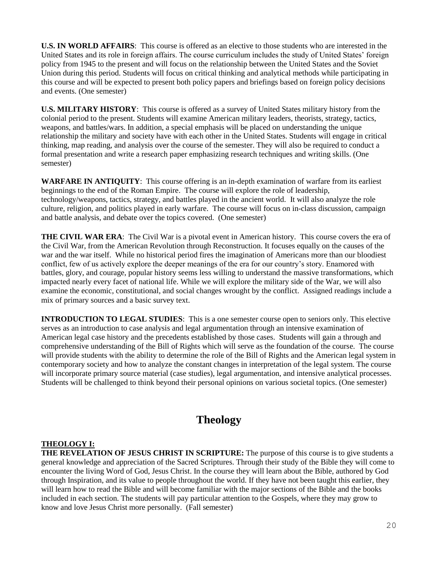**U.S. IN WORLD AFFAIRS**: This course is offered as an elective to those students who are interested in the United States and its role in foreign affairs. The course curriculum includes the study of United States' foreign policy from 1945 to the present and will focus on the relationship between the United States and the Soviet Union during this period. Students will focus on critical thinking and analytical methods while participating in this course and will be expected to present both policy papers and briefings based on foreign policy decisions and events. (One semester)

**U.S. MILITARY HISTORY**: This course is offered as a survey of United States military history from the colonial period to the present. Students will examine American military leaders, theorists, strategy, tactics, weapons, and battles/wars. In addition, a special emphasis will be placed on understanding the unique relationship the military and society have with each other in the United States. Students will engage in critical thinking, map reading, and analysis over the course of the semester. They will also be required to conduct a formal presentation and write a research paper emphasizing research techniques and writing skills. (One semester)

**WARFARE IN ANTIQUITY**: This course offering is an in-depth examination of warfare from its earliest beginnings to the end of the Roman Empire. The course will explore the role of leadership, technology/weapons, tactics, strategy, and battles played in the ancient world. It will also analyze the role culture, religion, and politics played in early warfare. The course will focus on in-class discussion, campaign and battle analysis, and debate over the topics covered. (One semester)

**THE CIVIL WAR ERA**: The Civil War is a pivotal event in American history. This course covers the era of the Civil War, from the American Revolution through Reconstruction. It focuses equally on the causes of the war and the war itself. While no historical period fires the imagination of Americans more than our bloodiest conflict, few of us actively explore the deeper meanings of the era for our country's story. Enamored with battles, glory, and courage, popular history seems less willing to understand the massive transformations, which impacted nearly every facet of national life. While we will explore the military side of the War, we will also examine the economic, constitutional, and social changes wrought by the conflict. Assigned readings include a mix of primary sources and a basic survey text.

**INTRODUCTION TO LEGAL STUDIES**: This is a one semester course open to seniors only. This elective serves as an introduction to case analysis and legal argumentation through an intensive examination of American legal case history and the precedents established by those cases. Students will gain a through and comprehensive understanding of the Bill of Rights which will serve as the foundation of the course. The course will provide students with the ability to determine the role of the Bill of Rights and the American legal system in contemporary society and how to analyze the constant changes in interpretation of the legal system. The course will incorporate primary source material (case studies), legal argumentation, and intensive analytical processes. Students will be challenged to think beyond their personal opinions on various societal topics. (One semester)

# **Theology**

### **THEOLOGY I:**

**THE REVELATION OF JESUS CHRIST IN SCRIPTURE:** The purpose of this course is to give students a general knowledge and appreciation of the Sacred Scriptures. Through their study of the Bible they will come to encounter the living Word of God, Jesus Christ. In the course they will learn about the Bible, authored by God through Inspiration, and its value to people throughout the world. If they have not been taught this earlier, they will learn how to read the Bible and will become familiar with the major sections of the Bible and the books included in each section. The students will pay particular attention to the Gospels, where they may grow to know and love Jesus Christ more personally. (Fall semester)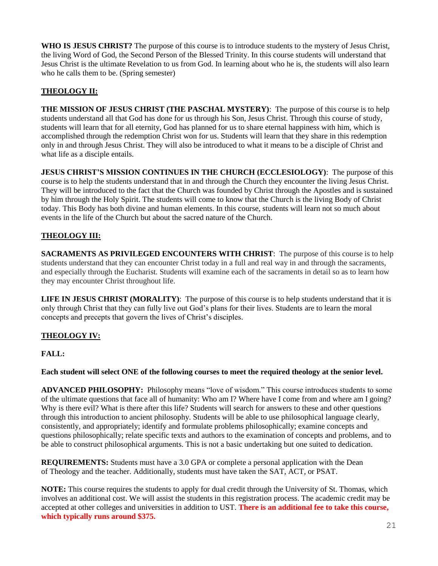**WHO IS JESUS CHRIST?** The purpose of this course is to introduce students to the mystery of Jesus Christ, the living Word of God, the Second Person of the Blessed Trinity. In this course students will understand that Jesus Christ is the ultimate Revelation to us from God. In learning about who he is, the students will also learn who he calls them to be. (Spring semester)

### **THEOLOGY II:**

**THE MISSION OF JESUS CHRIST (THE PASCHAL MYSTERY)**: The purpose of this course is to help students understand all that God has done for us through his Son, Jesus Christ. Through this course of study, students will learn that for all eternity, God has planned for us to share eternal happiness with him, which is accomplished through the redemption Christ won for us. Students will learn that they share in this redemption only in and through Jesus Christ. They will also be introduced to what it means to be a disciple of Christ and what life as a disciple entails.

**JESUS CHRIST'S MISSION CONTINUES IN THE CHURCH (ECCLESIOLOGY)**:The purpose of this course is to help the students understand that in and through the Church they encounter the living Jesus Christ. They will be introduced to the fact that the Church was founded by Christ through the Apostles and is sustained by him through the Holy Spirit. The students will come to know that the Church is the living Body of Christ today. This Body has both divine and human elements. In this course, students will learn not so much about events in the life of the Church but about the sacred nature of the Church.

### **THEOLOGY III:**

**SACRAMENTS AS PRIVILEGED ENCOUNTERS WITH CHRIST:** The purpose of this course is to help students understand that they can encounter Christ today in a full and real way in and through the sacraments, and especially through the Eucharist. Students will examine each of the sacraments in detail so as to learn how they may encounter Christ throughout life.

**LIFE IN JESUS CHRIST (MORALITY)**: The purpose of this course is to help students understand that it is only through Christ that they can fully live out God's plans for their lives. Students are to learn the moral concepts and precepts that govern the lives of Christ's disciples.

### **THEOLOGY IV:**

### **FALL:**

### **Each student will select ONE of the following courses to meet the required theology at the senior level.**

**ADVANCED PHILOSOPHY:** Philosophy means "love of wisdom." This course introduces students to some of the ultimate questions that face all of humanity: Who am I? Where have I come from and where am I going? Why is there evil? What is there after this life? Students will search for answers to these and other questions through this introduction to ancient philosophy. Students will be able to use philosophical language clearly, consistently, and appropriately; identify and formulate problems philosophically; examine concepts and questions philosophically; relate specific texts and authors to the examination of concepts and problems, and to be able to construct philosophical arguments. This is not a basic undertaking but one suited to dedication.

**REQUIREMENTS:** Students must have a 3.0 GPA or complete a personal application with the Dean of Theology and the teacher. Additionally, students must have taken the SAT, ACT, or PSAT.

**NOTE:** This course requires the students to apply for dual credit through the University of St. Thomas, which involves an additional cost. We will assist the students in this registration process. The academic credit may be accepted at other colleges and universities in addition to UST. **There is an additional fee to take this course, which typically runs around \$375.**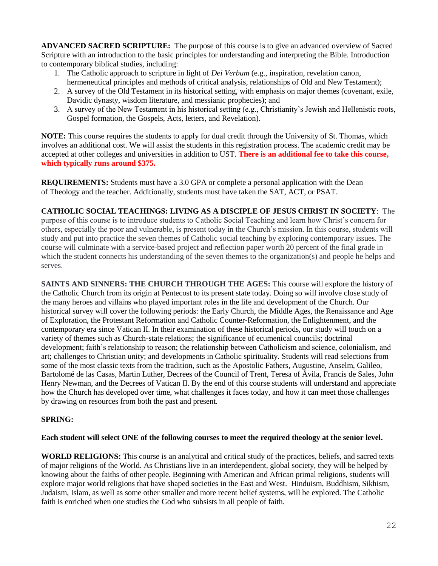**ADVANCED SACRED SCRIPTURE:** The purpose of this course is to give an advanced overview of Sacred Scripture with an introduction to the basic principles for understanding and interpreting the Bible. Introduction to contemporary biblical studies, including:

- 1. The Catholic approach to scripture in light of *Dei Verbum* (e.g., inspiration, revelation canon, hermeneutical principles and methods of critical analysis, relationships of Old and New Testament);
- 2. A survey of the Old Testament in its historical setting, with emphasis on major themes (covenant, exile, Davidic dynasty, wisdom literature, and messianic prophecies); and
- 3. A survey of the New Testament in his historical setting (e.g., Christianity's Jewish and Hellenistic roots, Gospel formation, the Gospels, Acts, letters, and Revelation).

**NOTE:** This course requires the students to apply for dual credit through the University of St. Thomas, which involves an additional cost. We will assist the students in this registration process. The academic credit may be accepted at other colleges and universities in addition to UST. **There is an additional fee to take this course, which typically runs around \$375.**

**REQUIREMENTS:** Students must have a 3.0 GPA or complete a personal application with the Dean of Theology and the teacher. Additionally, students must have taken the SAT, ACT, or PSAT.

**CATHOLIC SOCIAL TEACHINGS: LIVING AS A DISCIPLE OF JESUS CHRIST IN SOCIETY**: The purpose of this course is to introduce students to Catholic Social Teaching and learn how Christ's concern for others, especially the poor and vulnerable, is present today in the Church's mission. In this course, students will study and put into practice the seven themes of Catholic social teaching by exploring contemporary issues. The course will culminate with a service-based project and reflection paper worth 20 percent of the final grade in which the student connects his understanding of the seven themes to the organization(s) and people he helps and serves.

**SAINTS AND SINNERS: THE CHURCH THROUGH THE AGES:** This course will explore the history of the Catholic Church from its origin at Pentecost to its present state today. Doing so will involve close study of the many heroes and villains who played important roles in the life and development of the Church. Our historical survey will cover the following periods: the Early Church, the Middle Ages, the Renaissance and Age of Exploration, the Protestant Reformation and Catholic Counter-Reformation, the Enlightenment, and the contemporary era since Vatican II. In their examination of these historical periods, our study will touch on a variety of themes such as Church-state relations; the significance of ecumenical councils; doctrinal development; faith's relationship to reason; the relationship between Catholicism and science, colonialism, and art; challenges to Christian unity; and developments in Catholic spirituality. Students will read selections from some of the most classic texts from the tradition, such as the Apostolic Fathers, Augustine, Anselm, Galileo, Bartolomé de las Casas, Martin Luther, Decrees of the Council of Trent, Teresa of Ávila, Francis de Sales, John Henry Newman, and the Decrees of Vatican II. By the end of this course students will understand and appreciate how the Church has developed over time, what challenges it faces today, and how it can meet those challenges by drawing on resources from both the past and present.

### **SPRING:**

### **Each student will select ONE of the following courses to meet the required theology at the senior level.**

**WORLD RELIGIONS:** This course is an analytical and critical study of the practices, beliefs, and sacred texts of major religions of the World. As Christians live in an interdependent, global society, they will be helped by knowing about the faiths of other people. Beginning with American and African primal religions, students will explore major world religions that have shaped societies in the East and West. Hinduism, Buddhism, Sikhism, Judaism, Islam, as well as some other smaller and more recent belief systems, will be explored. The Catholic faith is enriched when one studies the God who subsists in all people of faith.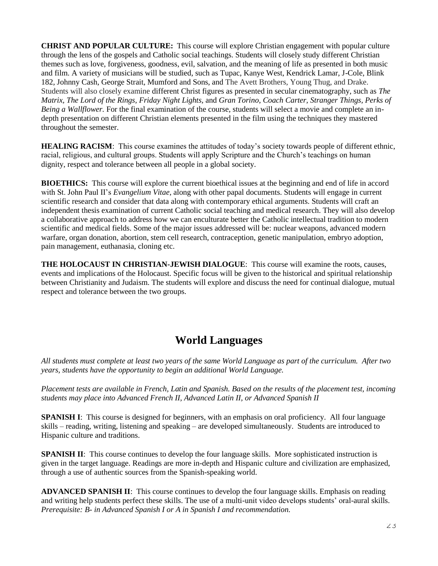**CHRIST AND POPULAR CULTURE:** This course will explore Christian engagement with popular culture through the lens of the gospels and Catholic social teachings. Students will closely study different Christian themes such as love, forgiveness, goodness, evil, salvation, and the meaning of life as presented in both music and film. A variety of musicians will be studied, such as Tupac, Kanye West, Kendrick Lamar, J-Cole, Blink 182, Johnny Cash, George Strait, Mumford and Sons, and The Avett Brothers, Young Thug, and Drake. Students will also closely examine different Christ figures as presented in secular cinematography, such as *The Matrix, The Lord of the Rings, Friday Night Lights,* and *Gran Torino*, *Coach Carter, Stranger Things, Perks of Being a Wallflower.* For the final examination of the course, students will select a movie and complete an indepth presentation on different Christian elements presented in the film using the techniques they mastered throughout the semester.

**HEALING RACISM:** This course examines the attitudes of today's society towards people of different ethnic, racial, religious, and cultural groups. Students will apply Scripture and the Church's teachings on human dignity, respect and tolerance between all people in a global society.

**BIOETHICS:** This course will explore the current bioethical issues at the beginning and end of life in accord with St. John Paul II's *Evangelium Vitae,* along with other papal documents. Students will engage in current scientific research and consider that data along with contemporary ethical arguments. Students will craft an independent thesis examination of current Catholic social teaching and medical research. They will also develop a collaborative approach to address how we can enculturate better the Catholic intellectual tradition to modern scientific and medical fields. Some of the major issues addressed will be: nuclear weapons, advanced modern warfare, organ donation, abortion, stem cell research, contraception, genetic manipulation, embryo adoption, pain management, euthanasia, cloning etc.

**THE HOLOCAUST IN CHRISTIAN-JEWISH DIALOGUE**: This course will examine the roots, causes, events and implications of the Holocaust. Specific focus will be given to the historical and spiritual relationship between Christianity and Judaism. The students will explore and discuss the need for continual dialogue, mutual respect and tolerance between the two groups.

# **World Languages**

*All students must complete at least two years of the same World Language as part of the curriculum. After two years, students have the opportunity to begin an additional World Language.* 

*Placement tests are available in French, Latin and Spanish. Based on the results of the placement test, incoming students may place into Advanced French II, Advanced Latin II, or Advanced Spanish II*

**SPANISH I**: This course is designed for beginners, with an emphasis on oral proficiency. All four language skills – reading, writing, listening and speaking – are developed simultaneously. Students are introduced to Hispanic culture and traditions.

**SPANISH II:** This course continues to develop the four language skills. More sophisticated instruction is given in the target language. Readings are more in-depth and Hispanic culture and civilization are emphasized, through a use of authentic sources from the Spanish-speaking world.

**ADVANCED SPANISH II**: This course continues to develop the four language skills. Emphasis on reading and writing help students perfect these skills. The use of a multi-unit video develops students' oral-aural skills. *Prerequisite: B- in Advanced Spanish I or A in Spanish I and recommendation.*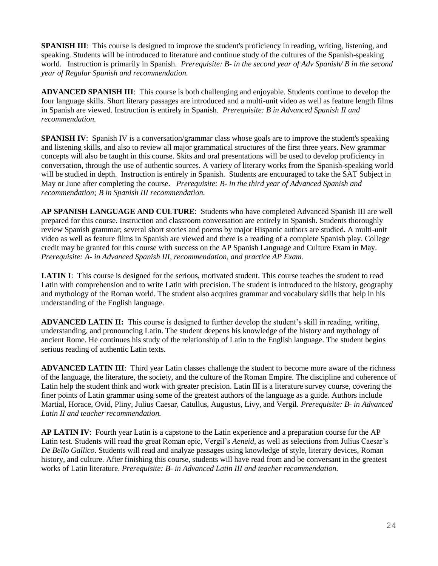**SPANISH III:** This course is designed to improve the student's proficiency in reading, writing, listening, and speaking. Students will be introduced to literature and continue study of the cultures of the Spanish-speaking world. Instruction is primarily in Spanish. *Prerequisite: B- in the second year of Adv Spanish/ B in the second year of Regular Spanish and recommendation.*

**ADVANCED SPANISH III**: This course is both challenging and enjoyable. Students continue to develop the four language skills. Short literary passages are introduced and a multi-unit video as well as feature length films in Spanish are viewed. Instruction is entirely in Spanish. *Prerequisite: B in Advanced Spanish II and recommendation.* 

**SPANISH IV:** Spanish IV is a conversation/grammar class whose goals are to improve the student's speaking and listening skills, and also to review all major grammatical structures of the first three years. New grammar concepts will also be taught in this course. Skits and oral presentations will be used to develop proficiency in conversation, through the use of authentic sources. A variety of literary works from the Spanish-speaking world will be studied in depth. Instruction is entirely in Spanish. Students are encouraged to take the SAT Subject in May or June after completing the course. *Prerequisite: B- in the third year of Advanced Spanish and recommendation; B in Spanish III recommendation.*

**AP SPANISH LANGUAGE AND CULTURE**:Students who have completed Advanced Spanish III are well prepared for this course. Instruction and classroom conversation are entirely in Spanish. Students thoroughly review Spanish grammar; several short stories and poems by major Hispanic authors are studied. A multi-unit video as well as feature films in Spanish are viewed and there is a reading of a complete Spanish play. College credit may be granted for this course with success on the AP Spanish Language and Culture Exam in May. *Prerequisite: A- in Advanced Spanish III, recommendation, and practice AP Exam.*

**LATIN I:** This course is designed for the serious, motivated student. This course teaches the student to read Latin with comprehension and to write Latin with precision. The student is introduced to the history, geography and mythology of the Roman world. The student also acquires grammar and vocabulary skills that help in his understanding of the English language.

**ADVANCED LATIN II:** This course is designed to further develop the student's skill in reading, writing, understanding, and pronouncing Latin. The student deepens his knowledge of the history and mythology of ancient Rome. He continues his study of the relationship of Latin to the English language. The student begins serious reading of authentic Latin texts.

**ADVANCED LATIN III**: Third year Latin classes challenge the student to become more aware of the richness of the language, the literature, the society, and the culture of the Roman Empire. The discipline and coherence of Latin help the student think and work with greater precision. Latin III is a literature survey course, covering the finer points of Latin grammar using some of the greatest authors of the language as a guide. Authors include Martial, Horace, Ovid, Pliny, Julius Caesar, Catullus, Augustus, Livy, and Vergil. *Prerequisite: B- in Advanced Latin II and teacher recommendation.*

**AP LATIN IV**: Fourth year Latin is a capstone to the Latin experience and a preparation course for the AP Latin test. Students will read the great Roman epic, Vergil's *Aeneid*, as well as selections from Julius Caesar's *De Bello Gallico*. Students will read and analyze passages using knowledge of style, literary devices, Roman history, and culture. After finishing this course, students will have read from and be conversant in the greatest works of Latin literature. *Prerequisite: B- in Advanced Latin III and teacher recommendation.*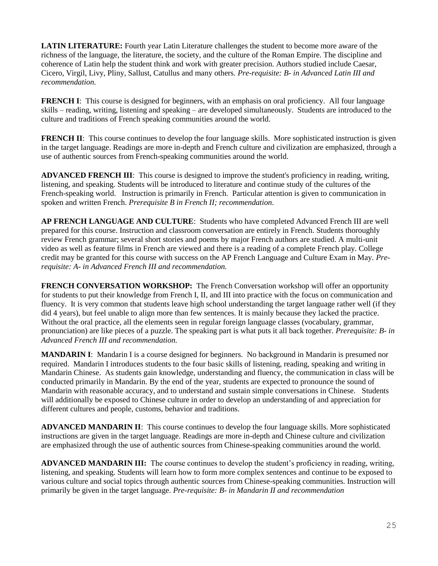**LATIN LITERATURE:** Fourth year Latin Literature challenges the student to become more aware of the richness of the language, the literature, the society, and the culture of the Roman Empire. The discipline and coherence of Latin help the student think and work with greater precision. Authors studied include Caesar, Cicero, Virgil, Livy, Pliny, Sallust, Catullus and many others. *Pre-requisite: B- in Advanced Latin III and recommendation.*

**FRENCH I:** This course is designed for beginners, with an emphasis on oral proficiency. All four language skills – reading, writing, listening and speaking – are developed simultaneously. Students are introduced to the culture and traditions of French speaking communities around the world.

**FRENCH II:** This course continues to develop the four language skills. More sophisticated instruction is given in the target language. Readings are more in-depth and French culture and civilization are emphasized, through a use of authentic sources from French-speaking communities around the world.

**ADVANCED FRENCH III**: This course is designed to improve the student's proficiency in reading, writing, listening, and speaking. Students will be introduced to literature and continue study of the cultures of the French-speaking world. Instruction is primarily in French. Particular attention is given to communication in spoken and written French. *Prerequisite B in French II; recommendation*.

**AP FRENCH LANGUAGE AND CULTURE**: Students who have completed Advanced French III are well prepared for this course. Instruction and classroom conversation are entirely in French. Students thoroughly review French grammar; several short stories and poems by major French authors are studied. A multi-unit video as well as feature films in French are viewed and there is a reading of a complete French play. College credit may be granted for this course with success on the AP French Language and Culture Exam in May. *Prerequisite: A- in Advanced French III and recommendation.*

**FRENCH CONVERSATION WORKSHOP:** The French Conversation workshop will offer an opportunity for students to put their knowledge from French I, II, and III into practice with the focus on communication and fluency. It is very common that students leave high school understanding the target language rather well (if they did 4 years), but feel unable to align more than few sentences. It is mainly because they lacked the practice. Without the oral practice, all the elements seen in regular foreign language classes (vocabulary, grammar, pronunciation) are like pieces of a puzzle. The speaking part is what puts it all back together. *Prerequisite: B- in Advanced French III and recommendation.*

**MANDARIN I**: Mandarin I is a course designed for beginners. No background in Mandarin is presumed nor required. Mandarin I introduces students to the four basic skills of listening, reading, speaking and writing in Mandarin Chinese. As students gain knowledge, understanding and fluency, the communication in class will be conducted primarily in Mandarin. By the end of the year, students are expected to pronounce the sound of Mandarin with reasonable accuracy, and to understand and sustain simple conversations in Chinese. Students will additionally be exposed to Chinese culture in order to develop an understanding of and appreciation for different cultures and people, customs, behavior and traditions.

**ADVANCED MANDARIN II**: This course continues to develop the four language skills. More sophisticated instructions are given in the target language. Readings are more in-depth and Chinese culture and civilization are emphasized through the use of authentic sources from Chinese-speaking communities around the world.

**ADVANCED MANDARIN III:** The course continues to develop the student's proficiency in reading, writing, listening, and speaking. Students will learn how to form more complex sentences and continue to be exposed to various culture and social topics through authentic sources from Chinese-speaking communities. Instruction will primarily be given in the target language. *Pre-requisite: B- in Mandarin II and recommendation*